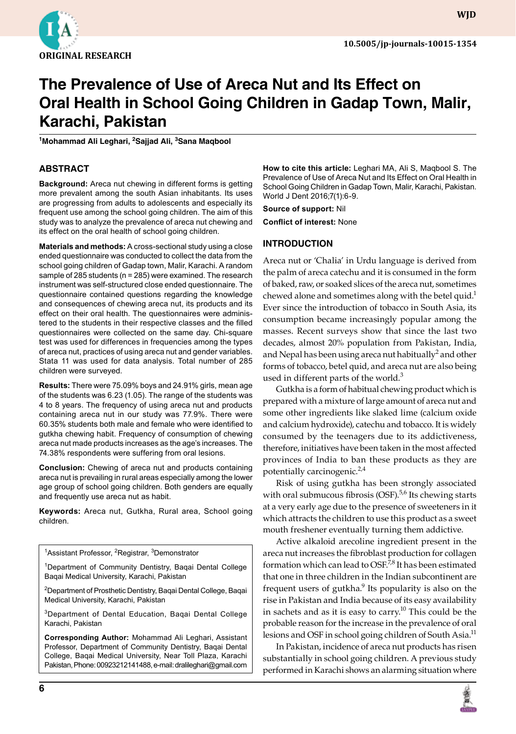

**WJD**

# **The Prevalence of Use of Areca Nut and Its Effect on Oral Health in School Going Children in Gadap Town, Malir, Karachi, Pakistan**

**<sup>1</sup>Mohammad Ali Leghari, 2Sajjad Ali, 3Sana Maqbool**

## **ABSTRACT**

**Background:** Areca nut chewing in different forms is getting more prevalent among the south Asian inhabitants. Its uses are progressing from adults to adolescents and especially its frequent use among the school going children. The aim of this study was to analyze the prevalence of areca nut chewing and its effect on the oral health of school going children.

**Materials and methods:** A cross-sectional study using a close ended questionnaire was conducted to collect the data from the school going children of Gadap town, Malir, Karachi. A random sample of 285 students (n = 285) were examined. The research instrument was self-structured close ended questionnaire. The questionnaire contained questions regarding the knowledge and consequences of chewing areca nut, its products and its effect on their oral health. The questionnaires were administered to the students in their respective classes and the filled questionnaires were collected on the same day. Chi-square test was used for differences in frequencies among the types of areca nut, practices of using areca nut and gender variables. Stata 11 was used for data analysis. Total number of 285 children were surveyed.

**Results:** There were 75.09% boys and 24.91% girls, mean age of the students was 6.23 (1.05). The range of the students was 4 to 8 years. The frequency of using areca nut and products containing areca nut in our study was 77.9%. There were 60.35% students both male and female who were identified to gutkha chewing habit. Frequency of consumption of chewing areca nut made products increases as the age's increases. The 74.38% respondents were suffering from oral lesions.

**Conclusion:** Chewing of areca nut and products containing areca nut is prevailing in rural areas especially among the lower age group of school going children. Both genders are equally and frequently use areca nut as habit.

**Keywords:** Areca nut, Gutkha, Rural area, School going children.

<sup>1</sup>Assistant Professor, <sup>2</sup>Registrar, <sup>3</sup>Demonstrator

<sup>1</sup>Department of Community Dentistry, Bagai Dental College Baqai Medical University, Karachi, Pakistan

<sup>2</sup>Department of Prosthetic Dentistry, Baqai Dental College, Baqai Medical University, Karachi, Pakistan

<sup>3</sup>Department of Dental Education, Baqai Dental College Karachi, Pakistan

**Corresponding Author:** Mohammad Ali Leghari, Assistant Professor, Department of Community Dentistry, Baqai Dental College, Baqai Medical University, Near Toll Plaza, Karachi Pakistan, Phone: 00923212141488, e-mail: dralileghari@gmail.com

**How to cite this article:** Leghari MA, Ali S, Maqbool S. The Prevalence of Use of Areca Nut and Its Effect on Oral Health in School Going Children in Gadap Town, Malir, Karachi, Pakistan. World J Dent 2016;7(1):6-9.

**Source of support:** Nil

**Conflict of interest:** None

#### **INTRODUCTION**

Areca nut or 'Chalia' in Urdu language is derived from the palm of areca catechu and it is consumed in the form of baked, raw, or soaked slices of the areca nut, sometimes chewed alone and sometimes along with the betel quid.<sup>1</sup> Ever since the introduction of tobacco in South Asia, its consumption became increasingly popular among the masses. Recent surveys show that since the last two decades, almost 20% population from Pakistan, India, and Nepal has been using areca nut habitually $^2$  and other forms of tobacco, betel quid, and areca nut are also being used in different parts of the world. $3$ 

Gutkha is a form of habitual chewing product which is prepared with a mixture of large amount of areca nut and some other ingredients like slaked lime (calcium oxide and calcium hydroxide), catechu and tobacco. It is widely consumed by the teenagers due to its addictiveness, therefore, initiatives have been taken in the most affected provinces of India to ban these products as they are potentially carcinogenic. $^{2,4}$ 

Risk of using gutkha has been strongly associated with oral submucous fibrosis (OSF).<sup>5,6</sup> Its chewing starts at a very early age due to the presence of sweeteners in it which attracts the children to use this product as a sweet mouth freshener eventually turning them addictive.

Active alkaloid arecoline ingredient present in the areca nut increases the fibroblast production for collagen formation which can lead to OSF.<sup>7,8</sup> It has been estimated that one in three children in the Indian subcontinent are frequent users of gutkha.<sup>9</sup> Its popularity is also on the rise in Pakistan and India because of its easy availability in sachets and as it is easy to carry.<sup>10</sup> This could be the probable reason for the increase in the prevalence of oral lesions and OSF in school going children of South Asia.<sup>11</sup>

In Pakistan, incidence of areca nut products has risen substantially in school going children. A previous study performed in Karachi shows an alarming situation where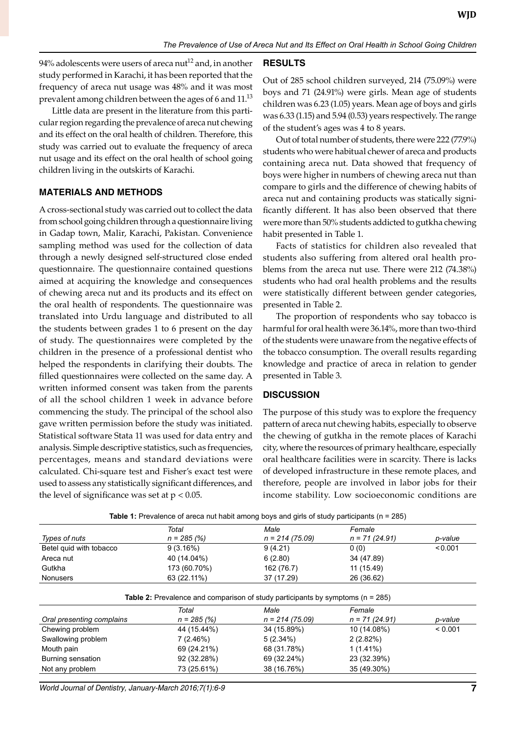94% adolescents were users of areca nut<sup>12</sup> and, in another study performed in Karachi, it has been reported that the frequency of areca nut usage was 48% and it was most prevalent among children between the ages of 6 and 11.<sup>13</sup>

Little data are present in the literature from this particular region regarding the prevalence of areca nut chewing and its effect on the oral health of children. Therefore, this study was carried out to evaluate the frequency of areca nut usage and its effect on the oral health of school going children living in the outskirts of Karachi.

## **MATERIALS AND METHODS**

A cross-sectional study was carried out to collect the data from school going children through a questionnaire living in Gadap town, Malir, Karachi, Pakistan. Convenience sampling method was used for the collection of data through a newly designed self-structured close ended questionnaire. The questionnaire contained questions aimed at acquiring the knowledge and consequences of chewing areca nut and its products and its effect on the oral health of respondents. The questionnaire was translated into Urdu language and distributed to all the students between grades 1 to 6 present on the day of study. The questionnaires were completed by the children in the presence of a professional dentist who helped the respondents in clarifying their doubts. The filled questionnaires were collected on the same day. A written informed consent was taken from the parents of all the school children 1 week in advance before commencing the study. The principal of the school also gave written permission before the study was initiated. Statistical software Stata 11 was used for data entry and analysis. Simple descriptive statistics, such as frequencies, percentages, means and standard deviations were calculated. Chi-square test and Fisher's exact test were used to assess any statistically significant differences, and the level of significance was set at  $p < 0.05$ .

#### **RESULTS**

Out of 285 school children surveyed, 214 (75.09%) were boys and 71 (24.91%) were girls. Mean age of students children was 6.23 (1.05) years. Mean age of boys and girls was 6.33 (1.15) and 5.94 (0.53) years respectively. The range of the student's ages was 4 to 8 years.

Out of total number of students, there were 222 (77.9%) students who were habitual chewer of areca and products containing areca nut. Data showed that frequency of boys were higher in numbers of chewing areca nut than compare to girls and the difference of chewing habits of areca nut and containing products was statically significantly different. It has also been observed that there were more than 50% students addicted to gutkha chewing habit presented in Table 1.

Facts of statistics for children also revealed that students also suffering from altered oral health problems from the areca nut use. There were 212 (74.38%) students who had oral health problems and the results were statistically different between gender categories, presented in Table 2.

The proportion of respondents who say tobacco is harmful for oral health were 36.14%, more than two-third of the students were unaware from the negative effects of the tobacco consumption. The overall results regarding knowledge and practice of areca in relation to gender presented in Table 3.

#### **DISCUSSION**

The purpose of this study was to explore the frequency pattern of areca nut chewing habits, especially to observe the chewing of gutkha in the remote places of Karachi city, where the resources of primary healthcare, especially oral healthcare facilities were in scarcity. There is lacks of developed infrastructure in these remote places, and therefore, people are involved in labor jobs for their income stability. Low socioeconomic conditions are

| Table 1: Prevalence of areca nut habit among boys and girls of study participants (n = 285) |               |                  |                  |         |  |  |
|---------------------------------------------------------------------------------------------|---------------|------------------|------------------|---------|--|--|
|                                                                                             | Total         | Male             | Female           |         |  |  |
| Types of nuts                                                                               | $n = 285 (%)$ | $n = 214(75.09)$ | $n = 71 (24.91)$ | p-value |  |  |
| Betel quid with tobacco                                                                     | 9(3.16%)      | 9(4.21)          | 0(0)             | < 0.001 |  |  |
| Areca nut                                                                                   | 40 (14.04%)   | 6(2.80)          | 34 (47.89)       |         |  |  |
| Gutkha                                                                                      | 173 (60.70%)  | 162 (76.7)       | 11 (15.49)       |         |  |  |
| <b>Nonusers</b>                                                                             | 63 (22.11%)   | 37 (17.29)       | 26 (36.62)       |         |  |  |
| <b>Table 2:</b> Prevalence and comparison of study participants by symptoms ( $n = 285$ )   |               |                  |                  |         |  |  |
|                                                                                             | Total         | Male             | Female           |         |  |  |
| Oral presenting complains                                                                   | $n = 285 (%)$ | $n = 214(75.09)$ | $n = 71 (24.91)$ | p-value |  |  |
| Chewing problem                                                                             | 44 (15.44%)   | 34 (15.89%)      | 10 (14.08%)      | < 0.001 |  |  |
| Swallowing problem                                                                          | 7(2.46%)      | $5(2.34\%)$      | 2(2.82%)         |         |  |  |
| Mouth pain                                                                                  | 69 (24.21%)   | 68 (31.78%)      | $1(1.41\%)$      |         |  |  |
| Burning sensation                                                                           | 92 (32.28%)   | 69 (32.24%)      | 23 (32.39%)      |         |  |  |
| Not any problem                                                                             | 73 (25.61%)   | 38 (16.76%)      | 35 (49.30%)      |         |  |  |

World Journal of Dentistry, January-March 2016;7(1):6-9 **7**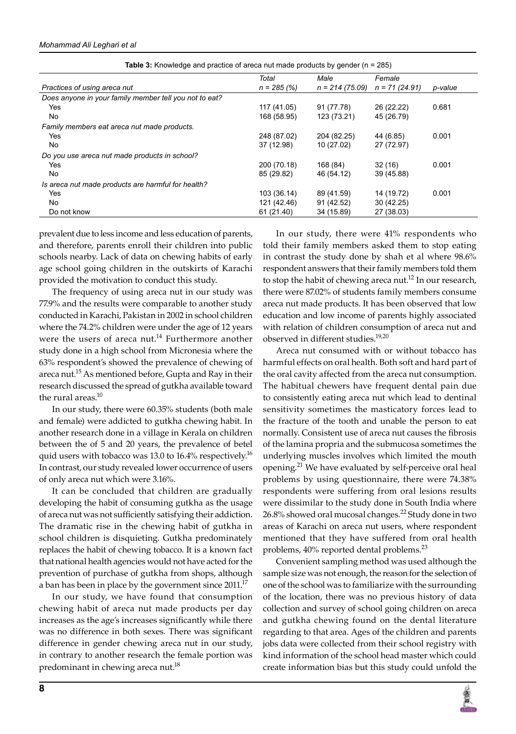|                                                        | Total         | Male             | Female          |         |
|--------------------------------------------------------|---------------|------------------|-----------------|---------|
| Practices of using areca nut                           | $n = 285 (%)$ | $n = 214(75.09)$ | $n = 71(24.91)$ | p-value |
| Does anyone in your family member tell you not to eat? |               |                  |                 |         |
| Yes                                                    | 117 (41.05)   | 91 (77.78)       | 26 (22.22)      | 0.681   |
| No                                                     | 168 (58.95)   | 123 (73.21)      | 45 (26.79)      |         |
| Family members eat areca nut made products.            |               |                  |                 |         |
| Yes                                                    | 248 (87.02)   | 204 (82.25)      | 44 (6.85)       | 0.001   |
| No                                                     | 37 (12.98)    | 10 (27.02)       | 27 (72.97)      |         |
| Do you use areca nut made products in school?          |               |                  |                 |         |
| Yes                                                    | 200 (70.18)   | 168 (84)         | 32(16)          | 0.001   |
| No                                                     | 85 (29.82)    | 46 (54.12)       | 39 (45.88)      |         |
| Is areca nut made products are harmful for health?     |               |                  |                 |         |
| <b>Yes</b>                                             | 103 (36.14)   | 89 (41.59)       | 14 (19.72)      | 0.001   |
| No                                                     | 121 (42.46)   | 91 (42.52)       | 30 (42.25)      |         |
| Do not know                                            | 61 (21.40)    | 34 (15.89)       | 27 (38.03)      |         |

**Table 3:** Knowledge and practice of areca nut made products by gender (n = 285)

prevalent due to less income and less education of parents, and therefore, parents enroll their children into public schools nearby. Lack of data on chewing habits of early age school going children in the outskirts of Karachi provided the motivation to conduct this study.

The frequency of using areca nut in our study was 77.9% and the results were comparable to another study conducted in Karachi, Pakistan in 2002 in school children where the 74.2% children were under the age of 12 years were the users of areca nut.<sup>14</sup> Furthermore another study done in a high school from Micronesia where the 63% respondent's showed the prevalence of chewing of areca nut.<sup>15</sup> As mentioned before, Gupta and Ray in their research discussed the spread of gutkha available toward the rural areas. $10$ 

In our study, there were 60.35% students (both male and female) were addicted to gutkha chewing habit. In another research done in a village in Kerala on children between the of 5 and 20 years, the prevalence of betel quid users with tobacco was 13.0 to 16.4% respectively.<sup>16</sup> In contrast, our study revealed lower occurrence of users of only areca nut which were 3.16%.

It can be concluded that children are gradually developing the habit of consuming gutkha as the usage of areca nut was not sufficiently satisfying their addiction. The dramatic rise in the chewing habit of gutkha in school children is disquieting. Gutkha predominately replaces the habit of chewing tobacco. It is a known fact that national health agencies would not have acted for the prevention of purchase of gutkha from shops, although a ban has been in place by the government since  $2011$ <sup>17</sup>

In our study, we have found that consumption chewing habit of areca nut made products per day increases as the age's increases significantly while there was no difference in both sexes. There was significant difference in gender chewing areca nut in our study, in contrary to another research the female portion was predominant in chewing areca nut.<sup>18</sup>

In our study, there were 41% respondents who told their family members asked them to stop eating in contrast the study done by shah et al where 98.6% respondent answers that their family members told them to stop the habit of chewing areca nut.<sup>12</sup> In our research, there were 87.02% of students family members consume areca nut made products. It has been observed that low education and low income of parents highly associated with relation of children consumption of areca nut and observed in different studies.<sup>19,20</sup>

Areca nut consumed with or without tobacco has harmful effects on oral health. Both soft and hard part of the oral cavity affected from the areca nut consumption. The habitual chewers have frequent dental pain due to consistently eating areca nut which lead to dentinal sensitivity sometimes the masticatory forces lead to the fracture of the tooth and unable the person to eat normally. Consistent use of areca nut causes the fibrosis of the lamina propria and the submucosa sometimes the underlying muscles involves which limited the mouth opening.<sup>21</sup> We have evaluated by self-perceive oral heal problems by using questionnaire, there were 74.38% respondents were suffering from oral lesions results were dissimilar to the study done in South India where 26.8% showed oral mucosal changes.<sup>22</sup> Study done in two areas of Karachi on areca nut users, where respondent mentioned that they have suffered from oral health problems, 40% reported dental problems.<sup>23</sup>

Convenient sampling method was used although the sample size was not enough, the reason for the selection of one of the school was to familiarize with the surrounding of the location, there was no previous history of data collection and survey of school going children on areca and gutkha chewing found on the dental literature regarding to that area. Ages of the children and parents jobs data were collected from their school registry with kind information of the school head master which could create information bias but this study could unfold the